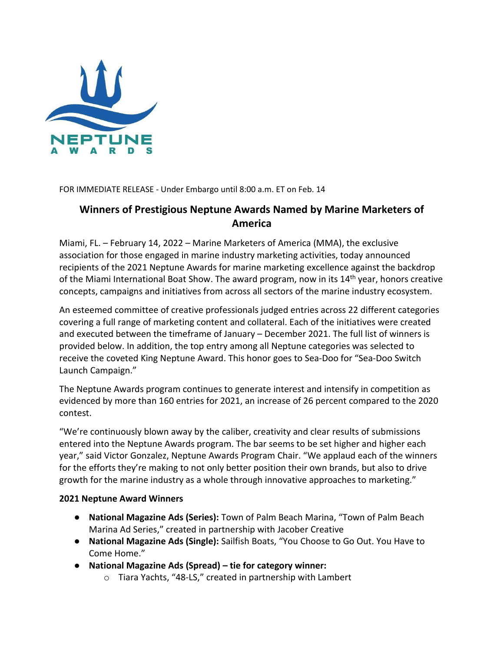

FOR IMMEDIATE RELEASE - Under Embargo until 8:00 a.m. ET on Feb. 14

## **Winners of Prestigious Neptune Awards Named by Marine Marketers of America**

Miami, FL. – February 14, 2022 – Marine Marketers of America (MMA), the exclusive association for those engaged in marine industry marketing activities, today announced recipients of the 2021 Neptune Awards for marine marketing excellence against the backdrop of the Miami International Boat Show. The award program, now in its 14<sup>th</sup> year, honors creative concepts, campaigns and initiatives from across all sectors of the marine industry ecosystem.

An esteemed committee of creative professionals judged entries across 22 different categories covering a full range of marketing content and collateral. Each of the initiatives were created and executed between the timeframe of January – December 2021. The full list of winners is provided below. In addition, the top entry among all Neptune categories was selected to receive the coveted King Neptune Award. This honor goes to Sea-Doo for "Sea-Doo Switch Launch Campaign."

The Neptune Awards program continues to generate interest and intensify in competition as evidenced by more than 160 entries for 2021, an increase of 26 percent compared to the 2020 contest.

"We're continuously blown away by the caliber, creativity and clear results of submissions entered into the Neptune Awards program. The bar seems to be set higher and higher each year," said Victor Gonzalez, Neptune Awards Program Chair. "We applaud each of the winners for the efforts they're making to not only better position their own brands, but also to drive growth for the marine industry as a whole through innovative approaches to marketing."

## **2021 Neptune Award Winners**

- **National Magazine Ads (Series):** Town of Palm Beach Marina, "Town of Palm Beach Marina Ad Series," created in partnership with Jacober Creative
- **National Magazine Ads (Single):** Sailfish Boats, "You Choose to Go Out. You Have to Come Home."
- **National Magazine Ads (Spread) – tie for category winner:**
	- o Tiara Yachts, "48-LS," created in partnership with Lambert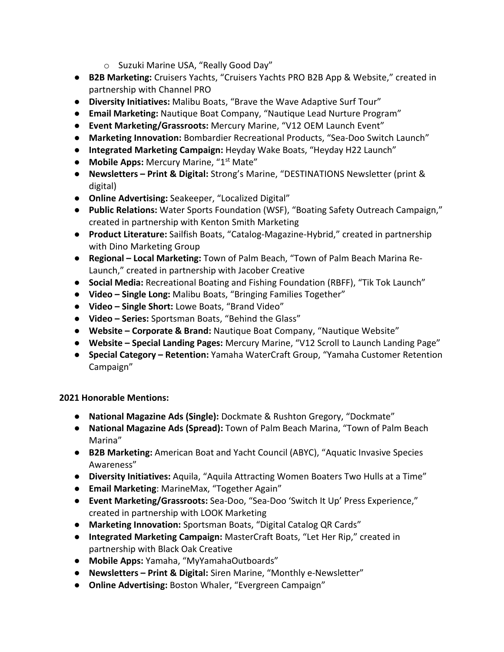- o Suzuki Marine USA, "Really Good Day"
- **B2B Marketing:** Cruisers Yachts, "Cruisers Yachts PRO B2B App & Website," created in partnership with Channel PRO
- **Diversity Initiatives:** Malibu Boats, "Brave the Wave Adaptive Surf Tour"
- **Email Marketing:** Nautique Boat Company, "Nautique Lead Nurture Program"
- **Event Marketing/Grassroots:** Mercury Marine, "V12 OEM Launch Event"
- **Marketing Innovation:** Bombardier Recreational Products, "Sea-Doo Switch Launch"
- **Integrated Marketing Campaign:** Heyday Wake Boats, "Heyday H22 Launch"
- **Mobile Apps:** Mercury Marine, "1<sup>st</sup> Mate"
- **Newsletters Print & Digital:** Strong's Marine, "DESTINATIONS Newsletter (print & digital)
- **Online Advertising:** Seakeeper, "Localized Digital"
- **Public Relations:** Water Sports Foundation (WSF), "Boating Safety Outreach Campaign," created in partnership with Kenton Smith Marketing
- **Product Literature:** Sailfish Boats, "Catalog-Magazine-Hybrid," created in partnership with Dino Marketing Group
- **Regional Local Marketing:** Town of Palm Beach, "Town of Palm Beach Marina Re-Launch," created in partnership with Jacober Creative
- **Social Media:** Recreational Boating and Fishing Foundation (RBFF), "Tik Tok Launch"
- **Video Single Long:** Malibu Boats, "Bringing Families Together"
- **Video Single Short:** Lowe Boats, "Brand Video"
- **Video Series:** Sportsman Boats, "Behind the Glass"
- **Website Corporate & Brand:** Nautique Boat Company, "Nautique Website"
- **Website Special Landing Pages:** Mercury Marine, "V12 Scroll to Launch Landing Page"
- **Special Category Retention:** Yamaha WaterCraft Group, "Yamaha Customer Retention Campaign"

## **2021 Honorable Mentions:**

- **National Magazine Ads (Single):** Dockmate & Rushton Gregory, "Dockmate"
- **National Magazine Ads (Spread):** Town of Palm Beach Marina, "Town of Palm Beach Marina"
- **B2B Marketing:** American Boat and Yacht Council (ABYC), "Aquatic Invasive Species Awareness"
- **Diversity Initiatives:** Aquila, "Aquila Attracting Women Boaters Two Hulls at a Time"
- **Email Marketing**: MarineMax, "Together Again"
- **Event Marketing/Grassroots:** Sea-Doo, "Sea-Doo 'Switch It Up' Press Experience," created in partnership with LOOK Marketing
- **Marketing Innovation:** Sportsman Boats, "Digital Catalog QR Cards"
- **Integrated Marketing Campaign:** MasterCraft Boats, "Let Her Rip," created in partnership with Black Oak Creative
- **Mobile Apps:** Yamaha, "MyYamahaOutboards"
- **Newsletters Print & Digital:** Siren Marine, "Monthly e-Newsletter"
- **Online Advertising:** Boston Whaler, "Evergreen Campaign"